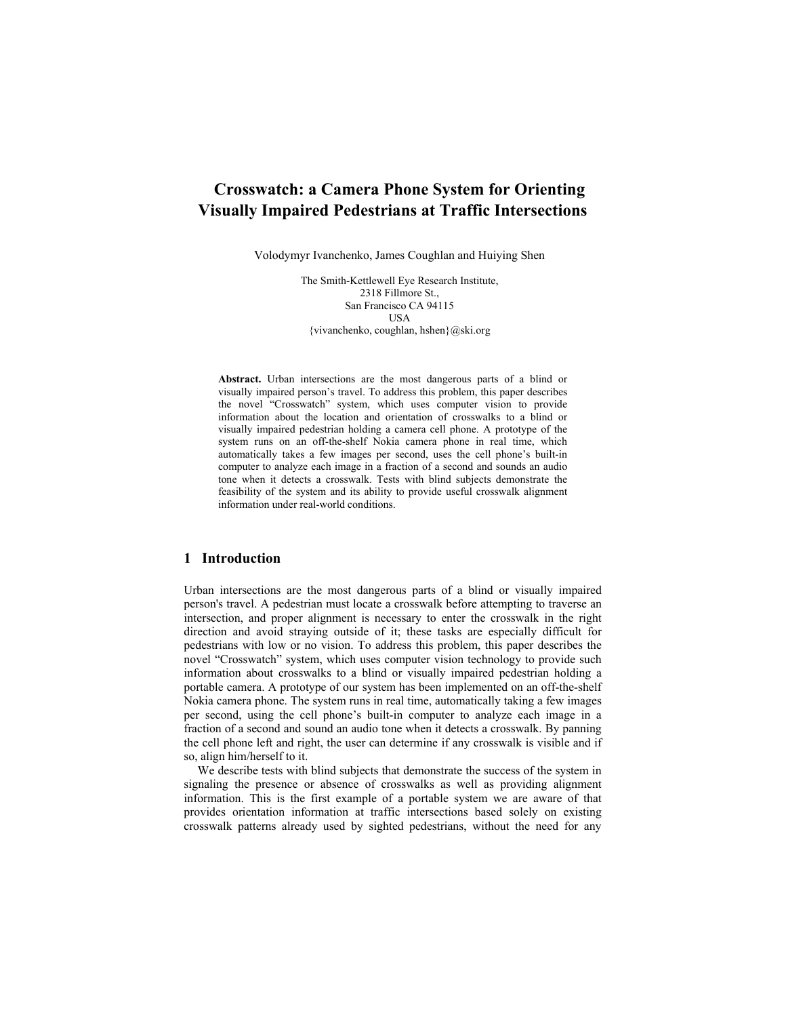# **Crosswatch: a Camera Phone System for Orienting Visually Impaired Pedestrians at Traffic Intersections**

Volodymyr Ivanchenko, James Coughlan and Huiying Shen

The Smith-Kettlewell Eye Research Institute, 2318 Fillmore St., San Francisco CA 94115 USA {vivanchenko, coughlan, hshen}@ski.org

**Abstract.** Urban intersections are the most dangerous parts of a blind or visually impaired person's travel. To address this problem, this paper describes the novel "Crosswatch" system, which uses computer vision to provide information about the location and orientation of crosswalks to a blind or visually impaired pedestrian holding a camera cell phone. A prototype of the system runs on an off-the-shelf Nokia camera phone in real time, which automatically takes a few images per second, uses the cell phone's built-in computer to analyze each image in a fraction of a second and sounds an audio tone when it detects a crosswalk. Tests with blind subjects demonstrate the feasibility of the system and its ability to provide useful crosswalk alignment information under real-world conditions.

### **1 Introduction**

Urban intersections are the most dangerous parts of a blind or visually impaired person's travel. A pedestrian must locate a crosswalk before attempting to traverse an intersection, and proper alignment is necessary to enter the crosswalk in the right direction and avoid straying outside of it; these tasks are especially difficult for pedestrians with low or no vision. To address this problem, this paper describes the novel "Crosswatch" system, which uses computer vision technology to provide such information about crosswalks to a blind or visually impaired pedestrian holding a portable camera. A prototype of our system has been implemented on an off-the-shelf Nokia camera phone. The system runs in real time, automatically taking a few images per second, using the cell phone's built-in computer to analyze each image in a fraction of a second and sound an audio tone when it detects a crosswalk. By panning the cell phone left and right, the user can determine if any crosswalk is visible and if so, align him/herself to it.

We describe tests with blind subjects that demonstrate the success of the system in signaling the presence or absence of crosswalks as well as providing alignment information. This is the first example of a portable system we are aware of that provides orientation information at traffic intersections based solely on existing crosswalk patterns already used by sighted pedestrians, without the need for any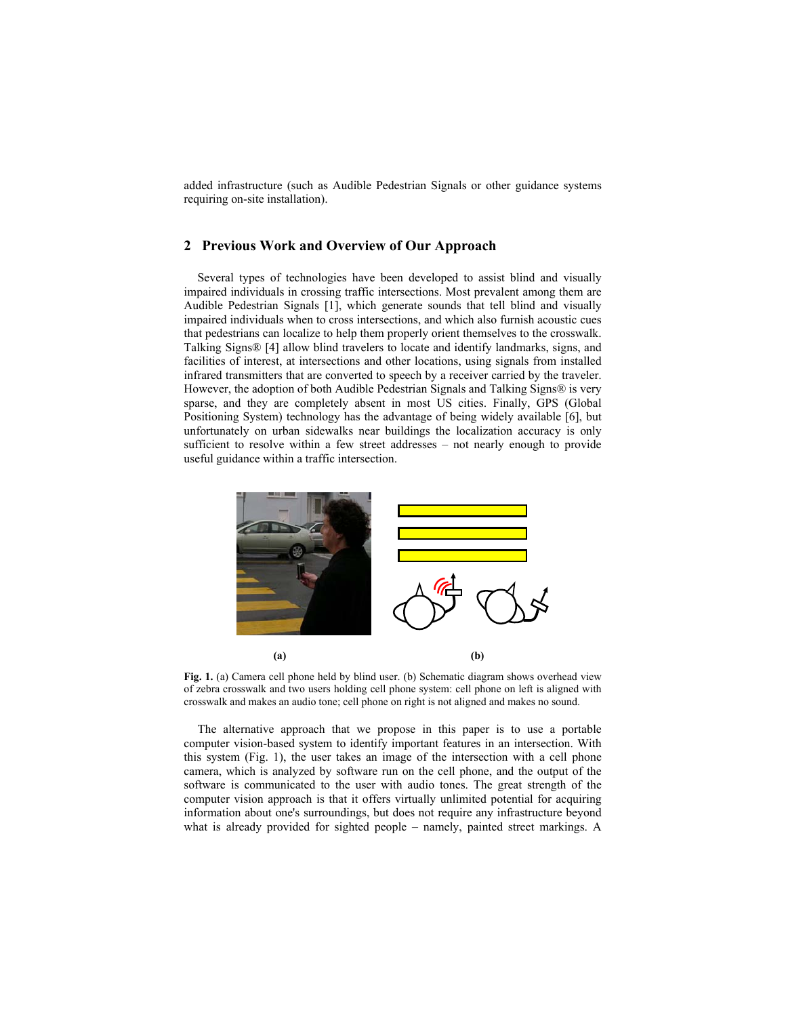added infrastructure (such as Audible Pedestrian Signals or other guidance systems requiring on-site installation).

### **2 Previous Work and Overview of Our Approach**

Several types of technologies have been developed to assist blind and visually impaired individuals in crossing traffic intersections. Most prevalent among them are Audible Pedestrian Signals [1], which generate sounds that tell blind and visually impaired individuals when to cross intersections, and which also furnish acoustic cues that pedestrians can localize to help them properly orient themselves to the crosswalk. Talking Signs® [4] allow blind travelers to locate and identify landmarks, signs, and facilities of interest, at intersections and other locations, using signals from installed infrared transmitters that are converted to speech by a receiver carried by the traveler. However, the adoption of both Audible Pedestrian Signals and Talking Signs® is very sparse, and they are completely absent in most US cities. Finally, GPS (Global Positioning System) technology has the advantage of being widely available [6], but unfortunately on urban sidewalks near buildings the localization accuracy is only sufficient to resolve within a few street addresses – not nearly enough to provide useful guidance within a traffic intersection.



Fig. 1. (a) Camera cell phone held by blind user. (b) Schematic diagram shows overhead view of zebra crosswalk and two users holding cell phone system: cell phone on left is aligned with crosswalk and makes an audio tone; cell phone on right is not aligned and makes no sound.

The alternative approach that we propose in this paper is to use a portable computer vision-based system to identify important features in an intersection. With this system (Fig. 1), the user takes an image of the intersection with a cell phone camera, which is analyzed by software run on the cell phone, and the output of the software is communicated to the user with audio tones. The great strength of the computer vision approach is that it offers virtually unlimited potential for acquiring information about one's surroundings, but does not require any infrastructure beyond what is already provided for sighted people – namely, painted street markings. A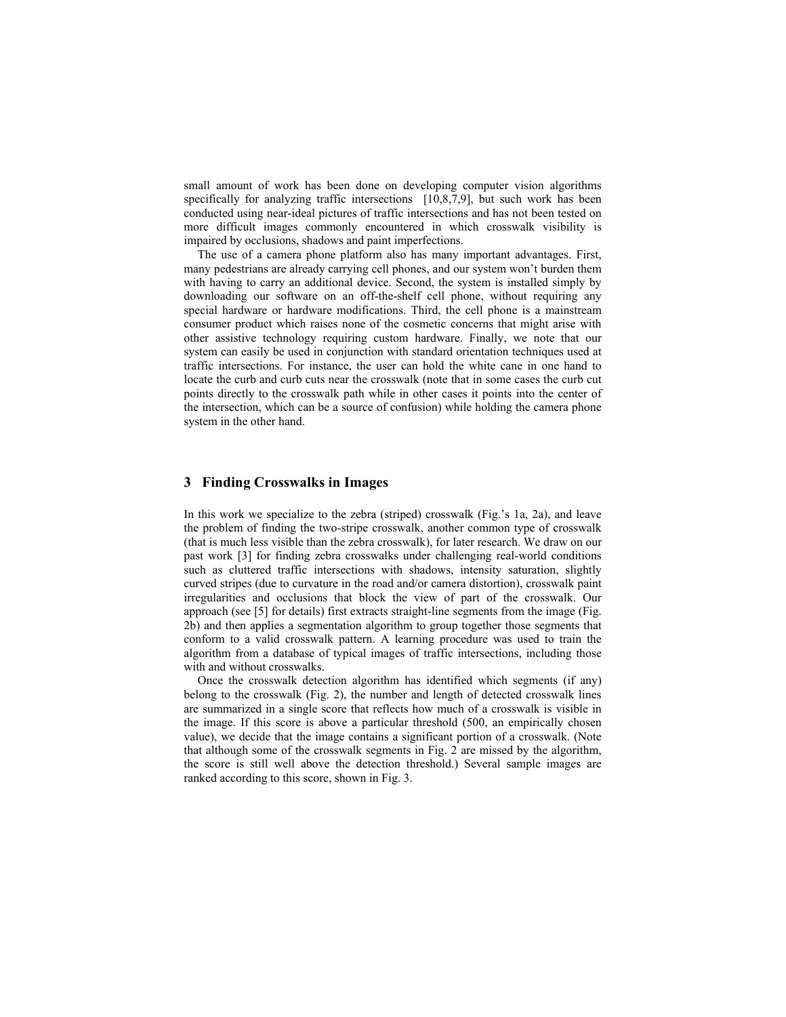small amount of work has been done on developing computer vision algorithms specifically for analyzing traffic intersections [10,8,7,9], but such work has been conducted using near-ideal pictures of traffic intersections and has not been tested on more difficult images commonly encountered in which crosswalk visibility is impaired by occlusions, shadows and paint imperfections.

The use of a camera phone platform also has many important advantages. First, many pedestrians are already carrying cell phones, and our system won't burden them with having to carry an additional device. Second, the system is installed simply by downloading our software on an off-the-shelf cell phone, without requiring any special hardware or hardware modifications. Third, the cell phone is a mainstream consumer product which raises none of the cosmetic concerns that might arise with other assistive technology requiring custom hardware. Finally, we note that our system can easily be used in conjunction with standard orientation techniques used at traffic intersections. For instance, the user can hold the white cane in one hand to locate the curb and curb cuts near the crosswalk (note that in some cases the curb cut points directly to the crosswalk path while in other cases it points into the center of the intersection, which can be a source of confusion) while holding the camera phone system in the other hand.

### **3 Finding Crosswalks in Images**

In this work we specialize to the zebra (striped) crosswalk (Fig.'s 1a, 2a), and leave the problem of finding the two-stripe crosswalk, another common type of crosswalk (that is much less visible than the zebra crosswalk), for later research. We draw on our past work [3] for finding zebra crosswalks under challenging real-world conditions such as cluttered traffic intersections with shadows, intensity saturation, slightly curved stripes (due to curvature in the road and/or camera distortion), crosswalk paint irregularities and occlusions that block the view of part of the crosswalk. Our approach (see [5] for details) first extracts straight-line segments from the image (Fig. 2b) and then applies a segmentation algorithm to group together those segments that conform to a valid crosswalk pattern. A learning procedure was used to train the algorithm from a database of typical images of traffic intersections, including those with and without crosswalks.

Once the crosswalk detection algorithm has identified which segments (if any) belong to the crosswalk (Fig. 2), the number and length of detected crosswalk lines are summarized in a single score that reflects how much of a crosswalk is visible in the image. If this score is above a particular threshold (500, an empirically chosen value), we decide that the image contains a significant portion of a crosswalk. (Note that although some of the crosswalk segments in Fig. 2 are missed by the algorithm, the score is still well above the detection threshold.) Several sample images are ranked according to this score, shown in Fig. 3.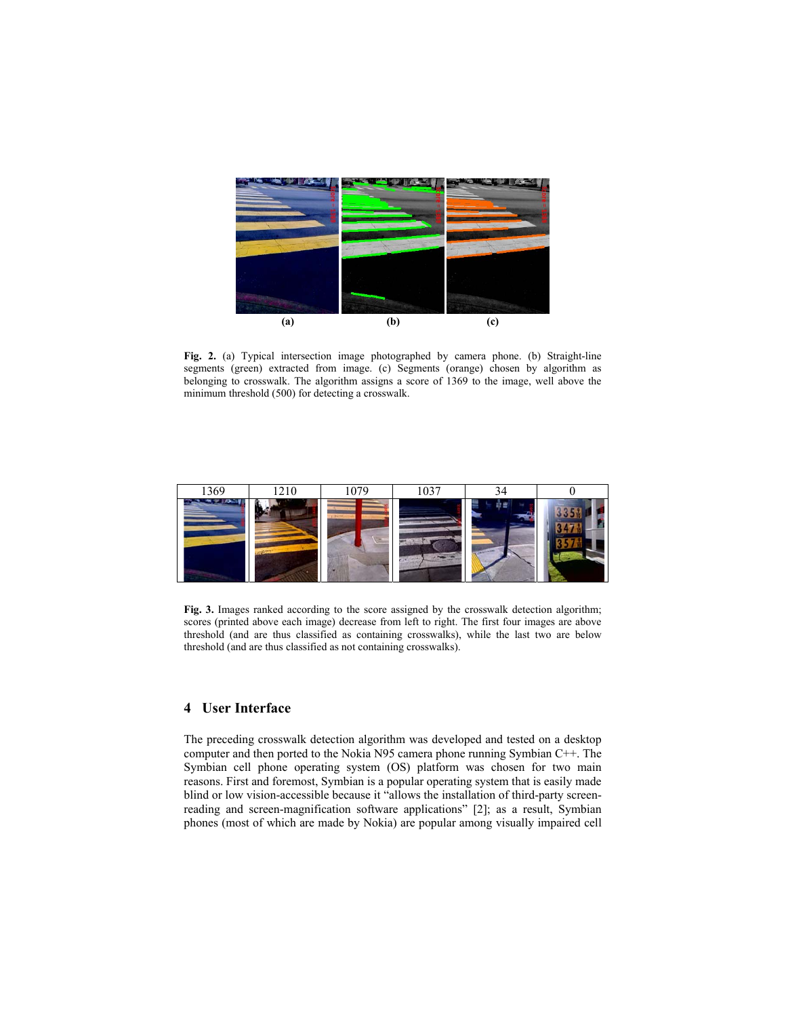

**Fig. 2.** (a) Typical intersection image photographed by camera phone. (b) Straight-line segments (green) extracted from image. (c) Segments (orange) chosen by algorithm as belonging to crosswalk. The algorithm assigns a score of 1369 to the image, well above the minimum threshold (500) for detecting a crosswalk.



**Fig. 3.** Images ranked according to the score assigned by the crosswalk detection algorithm; scores (printed above each image) decrease from left to right. The first four images are above threshold (and are thus classified as containing crosswalks), while the last two are below threshold (and are thus classified as not containing crosswalks).

## **4 User Interface**

The preceding crosswalk detection algorithm was developed and tested on a desktop computer and then ported to the Nokia N95 camera phone running Symbian C++. The Symbian cell phone operating system (OS) platform was chosen for two main reasons. First and foremost, Symbian is a popular operating system that is easily made blind or low vision-accessible because it "allows the installation of third-party screenreading and screen-magnification software applications" [2]; as a result, Symbian phones (most of which are made by Nokia) are popular among visually impaired cell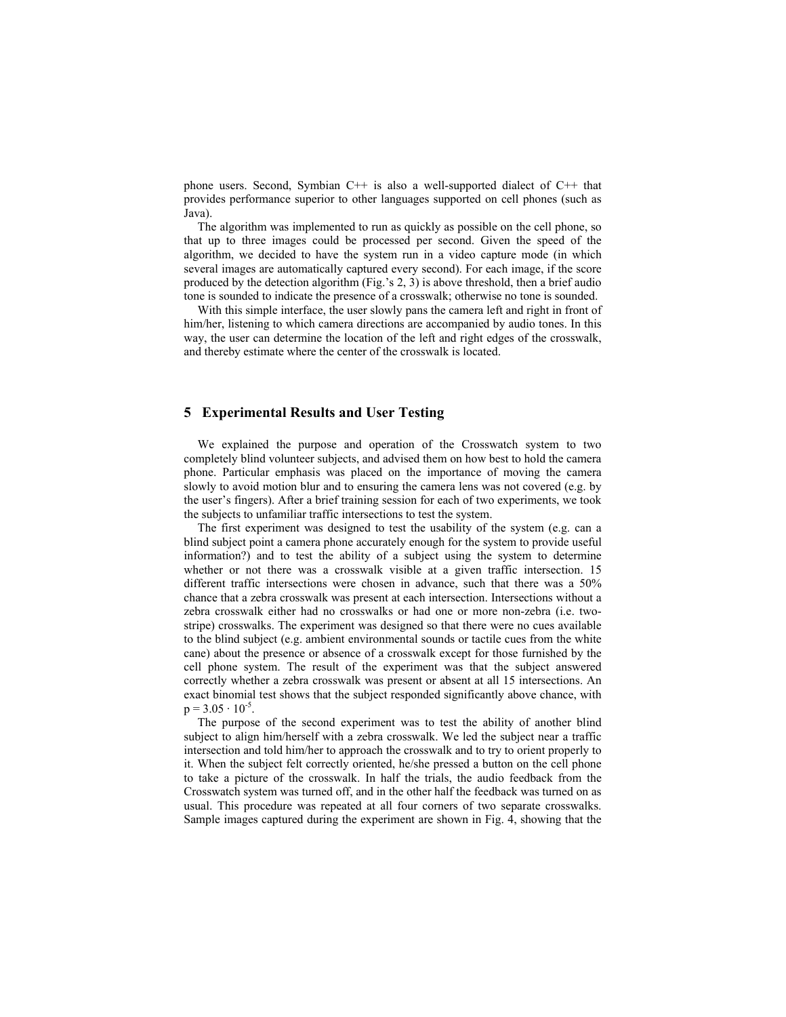phone users. Second, Symbian C++ is also a well-supported dialect of C++ that provides performance superior to other languages supported on cell phones (such as Java).

The algorithm was implemented to run as quickly as possible on the cell phone, so that up to three images could be processed per second. Given the speed of the algorithm, we decided to have the system run in a video capture mode (in which several images are automatically captured every second). For each image, if the score produced by the detection algorithm (Fig.'s 2, 3) is above threshold, then a brief audio tone is sounded to indicate the presence of a crosswalk; otherwise no tone is sounded.

With this simple interface, the user slowly pans the camera left and right in front of him/her, listening to which camera directions are accompanied by audio tones. In this way, the user can determine the location of the left and right edges of the crosswalk, and thereby estimate where the center of the crosswalk is located.

#### **5 Experimental Results and User Testing**

We explained the purpose and operation of the Crosswatch system to two completely blind volunteer subjects, and advised them on how best to hold the camera phone. Particular emphasis was placed on the importance of moving the camera slowly to avoid motion blur and to ensuring the camera lens was not covered (e.g. by the user's fingers). After a brief training session for each of two experiments, we took the subjects to unfamiliar traffic intersections to test the system.

The first experiment was designed to test the usability of the system (e.g. can a blind subject point a camera phone accurately enough for the system to provide useful information?) and to test the ability of a subject using the system to determine whether or not there was a crosswalk visible at a given traffic intersection. 15 different traffic intersections were chosen in advance, such that there was a 50% chance that a zebra crosswalk was present at each intersection. Intersections without a zebra crosswalk either had no crosswalks or had one or more non-zebra (i.e. twostripe) crosswalks. The experiment was designed so that there were no cues available to the blind subject (e.g. ambient environmental sounds or tactile cues from the white cane) about the presence or absence of a crosswalk except for those furnished by the cell phone system. The result of the experiment was that the subject answered correctly whether a zebra crosswalk was present or absent at all 15 intersections. An exact binomial test shows that the subject responded significantly above chance, with  $p = 3.05 \cdot 10^{-5}$ .

The purpose of the second experiment was to test the ability of another blind subject to align him/herself with a zebra crosswalk. We led the subject near a traffic intersection and told him/her to approach the crosswalk and to try to orient properly to it. When the subject felt correctly oriented, he/she pressed a button on the cell phone to take a picture of the crosswalk. In half the trials, the audio feedback from the Crosswatch system was turned off, and in the other half the feedback was turned on as usual. This procedure was repeated at all four corners of two separate crosswalks. Sample images captured during the experiment are shown in Fig. 4, showing that the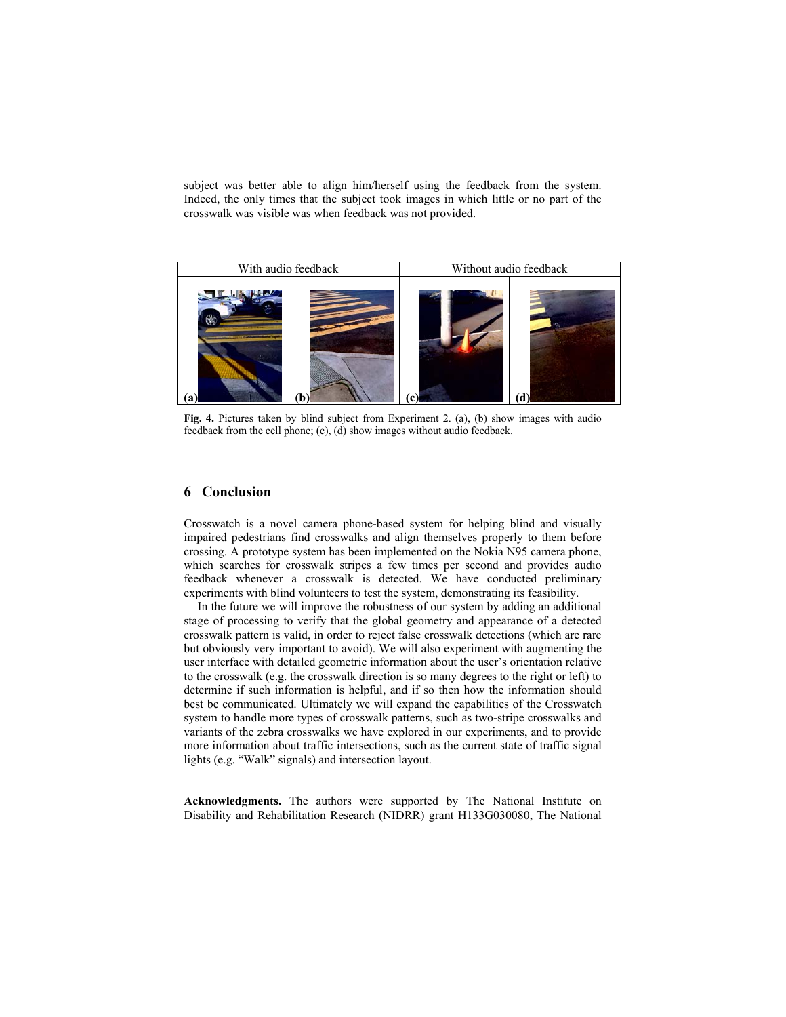subject was better able to align him/herself using the feedback from the system. Indeed, the only times that the subject took images in which little or no part of the crosswalk was visible was when feedback was not provided.



**Fig. 4.** Pictures taken by blind subject from Experiment 2. (a), (b) show images with audio feedback from the cell phone; (c), (d) show images without audio feedback.

### **6 Conclusion**

Crosswatch is a novel camera phone-based system for helping blind and visually impaired pedestrians find crosswalks and align themselves properly to them before crossing. A prototype system has been implemented on the Nokia N95 camera phone, which searches for crosswalk stripes a few times per second and provides audio feedback whenever a crosswalk is detected. We have conducted preliminary experiments with blind volunteers to test the system, demonstrating its feasibility.

In the future we will improve the robustness of our system by adding an additional stage of processing to verify that the global geometry and appearance of a detected crosswalk pattern is valid, in order to reject false crosswalk detections (which are rare but obviously very important to avoid). We will also experiment with augmenting the user interface with detailed geometric information about the user's orientation relative to the crosswalk (e.g. the crosswalk direction is so many degrees to the right or left) to determine if such information is helpful, and if so then how the information should best be communicated. Ultimately we will expand the capabilities of the Crosswatch system to handle more types of crosswalk patterns, such as two-stripe crosswalks and variants of the zebra crosswalks we have explored in our experiments, and to provide more information about traffic intersections, such as the current state of traffic signal lights (e.g. "Walk" signals) and intersection layout.

**Acknowledgments.** The authors were supported by The National Institute on Disability and Rehabilitation Research (NIDRR) grant H133G030080, The National